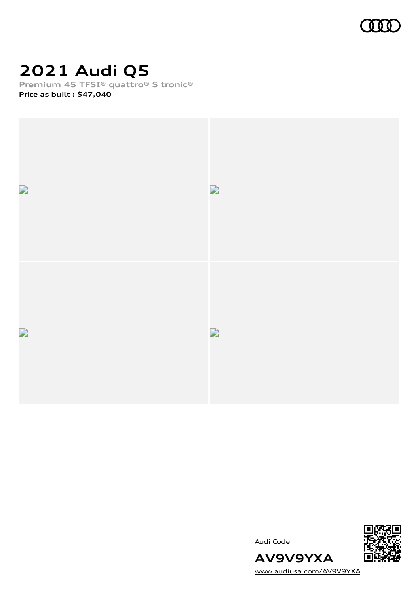

# **2021 Audi Q5**

**Premium 45 TFSI® quattro® S tronic®**

**Price as built [:](#page-10-0) \$47,040**



Audi Code



[www.audiusa.com/AV9V9YXA](https://www.audiusa.com/AV9V9YXA)

**AV9V9YXA**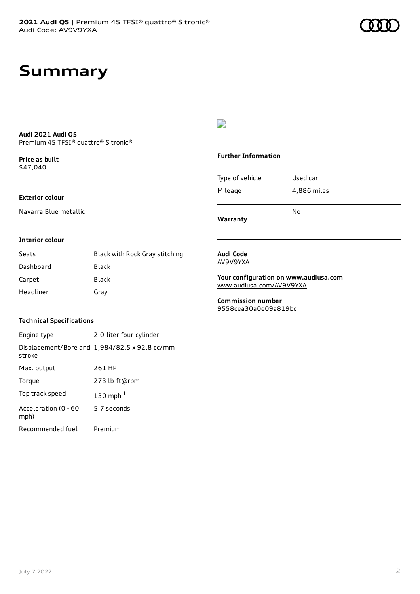# **Summary**

#### **Audi 2021 Audi Q5** Premium 45 TFSI® quattro® S tronic®

**Price as buil[t](#page-10-0)** \$47,040

#### **Exterior colour**

Navarra Blue metallic

#### $\overline{\phantom{a}}$

#### **Further Information**

|                 | N٥          |
|-----------------|-------------|
| Mileage         | 4,886 miles |
| Type of vehicle | Used car    |

**Warranty**

#### **Interior colour**

| Seats     | Black with Rock Gray stitching |
|-----------|--------------------------------|
| Dashboard | Black                          |
| Carpet    | Black                          |
| Headliner | Gray                           |

#### **Audi Code** AV9V9YXA

**Your configuration on www.audiusa.com** [www.audiusa.com/AV9V9YXA](https://www.audiusa.com/AV9V9YXA)

**Commission number** 9558cea30a0e09a819bc

#### **Technical Specifications**

| Engine type                  | 2.0-liter four-cylinder                       |
|------------------------------|-----------------------------------------------|
| stroke                       | Displacement/Bore and 1,984/82.5 x 92.8 cc/mm |
| Max. output                  | 261 HP                                        |
| Torque                       | 273 lb-ft@rpm                                 |
| Top track speed              | 130 mph $1$                                   |
| Acceleration (0 - 60<br>mph) | 5.7 seconds                                   |
| Recommended fuel             | Premium                                       |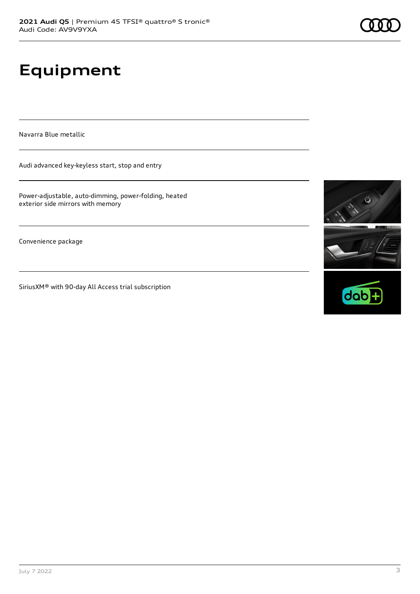# **Equipment**

Navarra Blue metallic

Audi advanced key-keyless start, stop and entry

Power-adjustable, auto-dimming, power-folding, heated exterior side mirrors with memory

Convenience package

SiriusXM® with 90-day All Access trial subscription



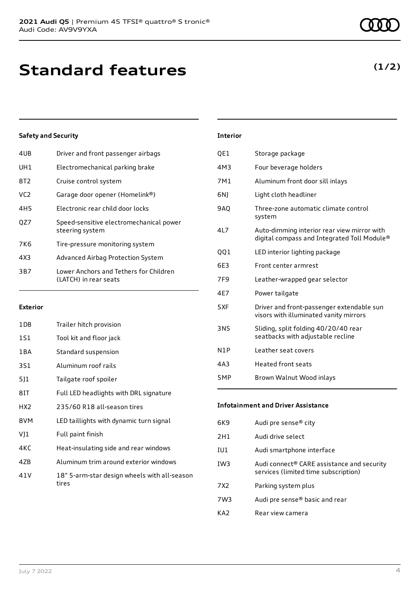| 4UB             | Driver and front passenger airbags                              |
|-----------------|-----------------------------------------------------------------|
| UH1             | Electromechanical parking brake                                 |
| 8T2             | Cruise control system                                           |
| VC <sub>2</sub> | Garage door opener (Homelink®)                                  |
| 4H <sub>5</sub> | Electronic rear child door locks                                |
| OZ7             | Speed-sensitive electromechanical power<br>steering system      |
| 7K6             | Tire-pressure monitoring system                                 |
| 4X3             | Advanced Airbag Protection System                               |
| 3B7             | Lower Anchors and Tethers for Children<br>(LATCH) in rear seats |
|                 |                                                                 |

#### **Exterior**

| 1D8             | Trailer hitch provision                               |
|-----------------|-------------------------------------------------------|
| 1S1             | Tool kit and floor jack                               |
| 1 B A           | Standard suspension                                   |
| 3S1             | Aluminum roof rails                                   |
| 511             | Tailgate roof spoiler                                 |
| 8IT             | Full LED headlights with DRL signature                |
| HX <sub>2</sub> | 235/60 R18 all-season tires                           |
| 8VM             | LED taillights with dynamic turn signal               |
| VJ1             | Full paint finish                                     |
| 4KC             | Heat-insulating side and rear windows                 |
| 47B             | Aluminum trim around exterior windows                 |
| 41 V            | 18" 5-arm-star design wheels with all-season<br>tires |

### **Interior**

| QE1 | Storage package                                                                            |
|-----|--------------------------------------------------------------------------------------------|
| 4M3 | Four beverage holders                                                                      |
| 7M1 | Aluminum front door sill inlays                                                            |
| 6N) | Light cloth headliner                                                                      |
| 9AQ | Three-zone automatic climate control<br>system                                             |
| 4L7 | Auto-dimming interior rear view mirror with<br>digital compass and Integrated Toll Module® |
| 001 | LED interior lighting package                                                              |
| 6E3 | Front center armrest                                                                       |
| 7F9 | Leather-wrapped gear selector                                                              |
| 4E7 | Power tailgate                                                                             |
| 5XF | Driver and front-passenger extendable sun<br>visors with illuminated vanity mirrors        |
| 3NS | Sliding, split folding 40/20/40 rear<br>seatbacks with adjustable recline                  |
| N1P | Leather seat covers                                                                        |
| 4A3 | <b>Heated front seats</b>                                                                  |
| 5MP | Brown Walnut Wood inlays                                                                   |

#### **Infotainment and Driver Assistance**

| 6K9             | Audi pre sense® city                                                               |
|-----------------|------------------------------------------------------------------------------------|
| 2H1             | Audi drive select                                                                  |
| IU1             | Audi smartphone interface                                                          |
| IW3             | Audi connect® CARE assistance and security<br>services (limited time subscription) |
| 7X <sub>2</sub> | Parking system plus                                                                |
| 7W3             | Audi pre sense® basic and rear                                                     |
| KA7             | Rear view camera                                                                   |

#### **(1/2)**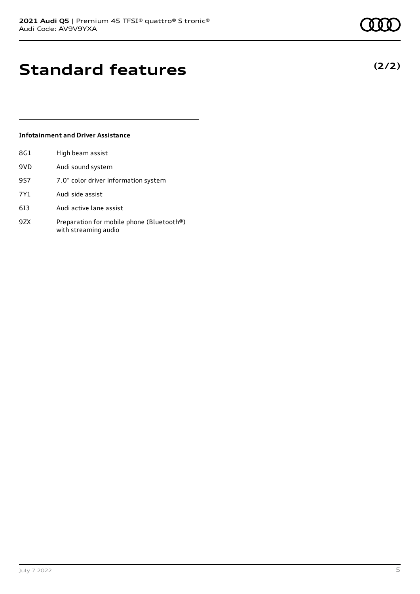### **(2/2)**

# **Standard features**

#### **Infotainment and Driver Assistance**

| 8G1 | High beam assist                                                  |
|-----|-------------------------------------------------------------------|
| 9VD | Audi sound system                                                 |
| 9S7 | 7.0" color driver information system                              |
| 7Y1 | Audi side assist                                                  |
| 613 | Audi active lane assist                                           |
| 9ZX | Preparation for mobile phone (Bluetooth®)<br>with streaming audio |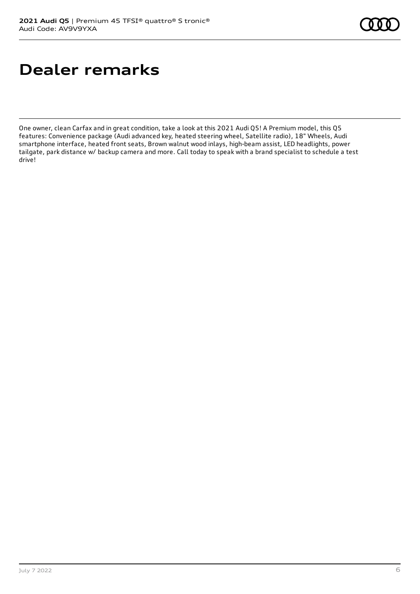# **Dealer remarks**

One owner, clean Carfax and in great condition, take a look at this 2021 Audi Q5! A Premium model, this Q5 features: Convenience package (Audi advanced key, heated steering wheel, Satellite radio), 18" Wheels, Audi smartphone interface, heated front seats, Brown walnut wood inlays, high-beam assist, LED headlights, power tailgate, park distance w/ backup camera and more. Call today to speak with a brand specialist to schedule a test drive!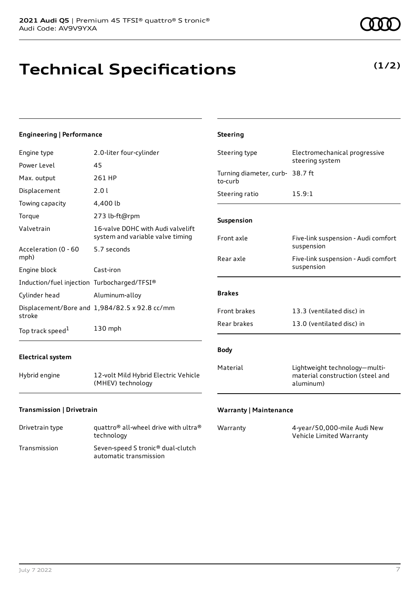# **Technical Specifications**

#### July 7 2022 7

**Engineering | Performance** Engine type 2.0-liter four-cylinder

| Power Level                                 | 45                                                                    |                                            | steering system                                                                |
|---------------------------------------------|-----------------------------------------------------------------------|--------------------------------------------|--------------------------------------------------------------------------------|
| Max. output                                 | 261 HP                                                                | Turning diameter, curb- 38.7 ft<br>to-curb |                                                                                |
| Displacement                                | 2.01                                                                  | Steering ratio                             | 15.9:1                                                                         |
| Towing capacity                             | 4,400 lb                                                              |                                            |                                                                                |
| Torque                                      | 273 lb-ft@rpm                                                         | <b>Suspension</b>                          |                                                                                |
| Valvetrain                                  | 16-valve DOHC with Audi valvelift<br>system and variable valve timing | Front axle                                 | Five-link suspension - Audi comfort                                            |
| Acceleration (0 - 60<br>mph)                | 5.7 seconds                                                           | Rear axle                                  | suspension<br>Five-link suspension - Audi comfort                              |
| Engine block                                | Cast-iron                                                             |                                            | suspension                                                                     |
| Induction/fuel injection Turbocharged/TFSI® |                                                                       |                                            |                                                                                |
| Cylinder head                               | Aluminum-alloy                                                        | <b>Brakes</b>                              |                                                                                |
| stroke                                      | Displacement/Bore and 1,984/82.5 x 92.8 cc/mm                         | Front brakes                               | 13.3 (ventilated disc) in                                                      |
| Top track speed <sup>1</sup>                | 130 mph                                                               | Rear brakes                                | 13.0 (ventilated disc) in                                                      |
| <b>Electrical system</b>                    |                                                                       | <b>Body</b>                                |                                                                                |
| Hybrid engine                               | 12-volt Mild Hybrid Electric Vehicle<br>(MHEV) technology             | Material                                   | Lightweight technology-multi-<br>material construction (steel and<br>aluminum) |
|                                             |                                                                       |                                            |                                                                                |

**Steering**

#### **Transmission | Drivetrain**

| Drivetrain type | quattro <sup>®</sup> all-wheel drive with ultra <sup>®</sup><br>technology |
|-----------------|----------------------------------------------------------------------------|
| Transmission    | Seven-speed S tronic <sup>®</sup> dual-clutch<br>automatic transmission    |

#### **Warranty | Maintenance**

| Warranty | 4-year/50,000-mile Audi New |
|----------|-----------------------------|
|          | Vehicle Limited Warranty    |

Steering type **Electromechanical progressive** 

**(1/2)**

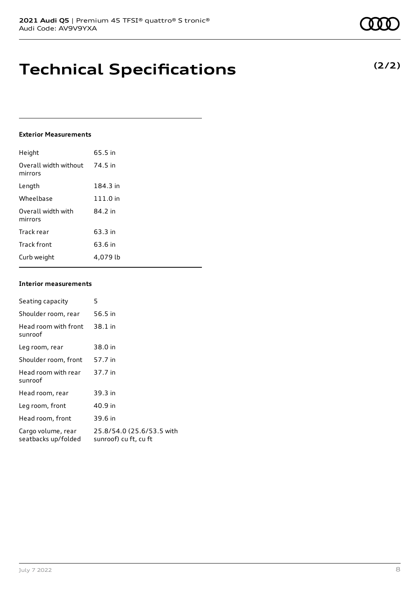# **Technical Specifications**

#### **Exterior Measurements**

| Height                           | 65.5 in  |
|----------------------------------|----------|
| Overall width without<br>mirrors | 74.5 in  |
| Length                           | 184.3 in |
| Wheelbase                        | 111.0 in |
| Overall width with<br>mirrors    | 84.2 in  |
| Track rear                       | 63.3 in  |
| Track front                      | 63.6 in  |
| Curb weight                      | 4.079 lb |

#### **Interior measurements**

| Seating capacity                          | 5                                                  |
|-------------------------------------------|----------------------------------------------------|
| Shoulder room, rear                       | 56.5 in                                            |
| Head room with front<br>sunroof           | 38.1 in                                            |
| Leg room, rear                            | 38.0 in                                            |
| Shoulder room, front                      | 57.7 in                                            |
| Head room with rear<br>sunroof            | 37.7 in                                            |
| Head room, rear                           | 39.3 in                                            |
| Leg room, front                           | 40.9 in                                            |
| Head room, front                          | 39.6 in                                            |
| Cargo volume, rear<br>seatbacks up/folded | 25.8/54.0 (25.6/53.5 with<br>sunroof) cu ft, cu ft |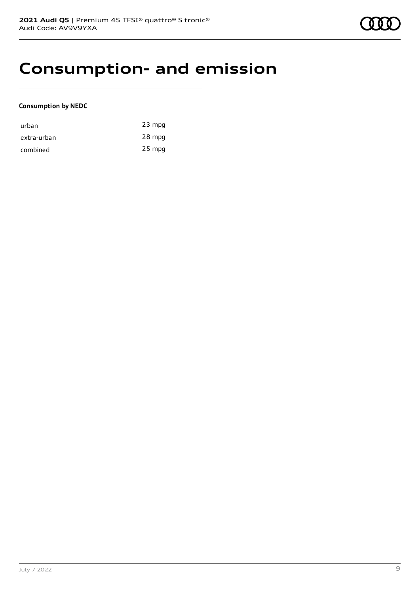### **Consumption- and emission**

#### **Consumption by NEDC**

| urban       | $23$ mpg |
|-------------|----------|
| extra-urban | 28 mpg   |
| combined    | $25$ mpg |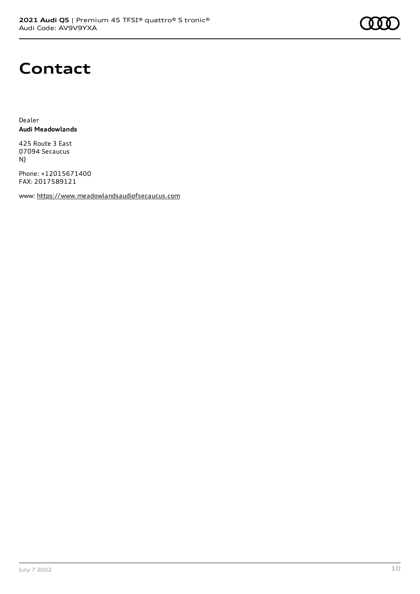

### **Contact**

Dealer **Audi Meadowlands**

425 Route 3 East 07094 Secaucus NJ

Phone: +12015671400 FAX: 2017589121

www: [https://www.meadowlandsaudiofsecaucus.com](https://www.meadowlandsaudiofsecaucus.com/)